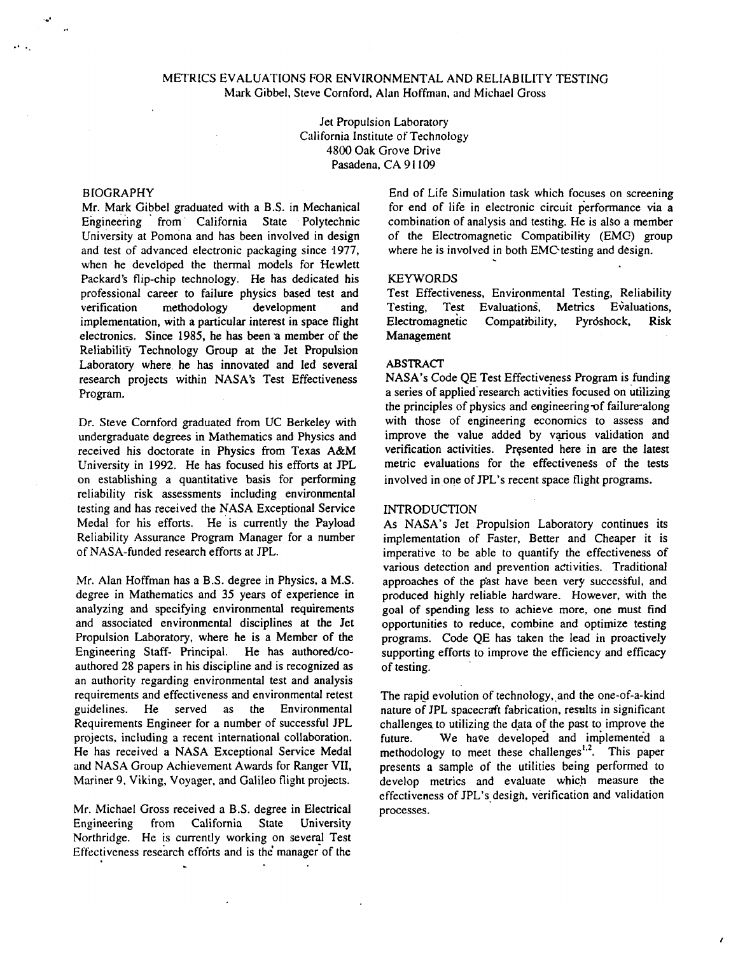# METRICS EVALUATIONS FOR ENVIRONMENTAL AND RELIABILITY TESTING Mark Gibbel. Steve Cornford. Alan Hoffman. **and** Michael Gross

Jet Propulsion Laboratory California Institute of Technology **4800** Oak Grove Drive Pasadena, CA **9 1** 109

# BIOGRAPHY

<span id="page-0-0"></span>*-3* 

Mr. Mark Gibbel graduated with a B.S. in Mechanical Engineering from California State Polytechnic University at Pomona and has been involved in design and test of advanced electronic packaging since 1977, when he developed the thermal models for Hewlett Packard's flip-chip technology. He has dedicated his professional career to failure physics based' test and verification methodology development and implementation, with a particular interest in space flight electronics. Since **1985,** he **has** been **a** member of the Reliability Technology Group at the Jet Propulsion Laboratory where he has innovated and led several research projects within NASA's Test Effectiveness Program.

Dr. Steve Cornford graduated from UC Berkeley with undergraduate degrees in Mathematics and Physics and received his doctorate in Physics from Texas A&M University in **1992.** He has focused his efforts at JPL on establishing a quantitative basis for performing reliability risk assessments including environmental testing and has received the NASA Exceptional Service Medal for his efforts. He is currently the Payload Reliability Assurance Program Manager for a number of NASA-funded research efforts at JPL.

Mr. Alan Hoffman has a B.S. degree in Physics, a M.S. degree in Mathematics and **35** years of experience in analyzing and specifying environmental requirements and associated environmental disciplines at the Jet Propulsion Laboratory, where he is a Member of the Engineering Staff- Principal. He has authored/coauthored **28** papers in his discipline and is recognized **as**  an authority regarding environmental test and analysis requirements and effectiveness and environmental retest guidelines. He served **as** the Environmental Requirements Engineer for a number of successful JPL projects, including **a** recent international collaboration. He has received a NASA Exceptional Service Medal and NASA Group Achievement Awards for Ranger **VII,**  Mariner **9,** Viking, Voyager, and Galileo flight projects.

Mr. Michael Gross received a B.S. degree in Electrical Engineering from California State University Northridge. He is currently working on several Test Effectiveness research efforts and is the manager of the  $\sim$ 

End of Life Simulation task which focuses on screening for end of life in electronic circuit performance via a combination of analysis and testing. He is also a member of the Electromagnetic Compatibility (EMC) group where he is involved in both EMC testing and design.

## KEYWORDS

Test Effectiveness, Environmental Testing, Reliability<br>Testing, Test Evaluations, Metrics Evaluations, Testing, Test Evaluations, Electromagneiic Compatibility, Pyrdshock, Risk Management

#### **ABSTRACT**

NASA's Code QE Test Effectiveness Program is funding a series of applied'research activities focused on utilizing the principles of physics and engineering-of failure-along with those of engineering economics to assess and improve the value added by various validation and verification activities. Presented here in are the latest metric evaluations for the effectiveness of the tests involved in one of JPL's recent space flight programs.

#### INTRODUCTION

As NASA's Jet Propulsion Laboratory continues its implementation of Faster, Better and Cheaper it is imperative to be able to quantify the effectiveness of various detection and prevention activities. Traditional approaches of the p'ast have been very successful, and produced highly reliable hardware. However, with the goal of spending less to achieve more, one must find opportunities to reduce, combine and optimize testing programs. Code QE has taken the lead in proactively supporting efforts to improve the efficiency and efficacy of testing.

The rapid evolution of technology, and the one-of-a-kind nature of JPL spacecraft fabrication, results in significant challenges to utilizing the data of the past to improve the future. We have developed and implemented a methodology to meet these challenges<sup> $1,2$ </sup>. This paper presents a sample of the utilities being performed to develop metrics and evaluate which measure the effectiveness of JPL's design, verification and validation processes.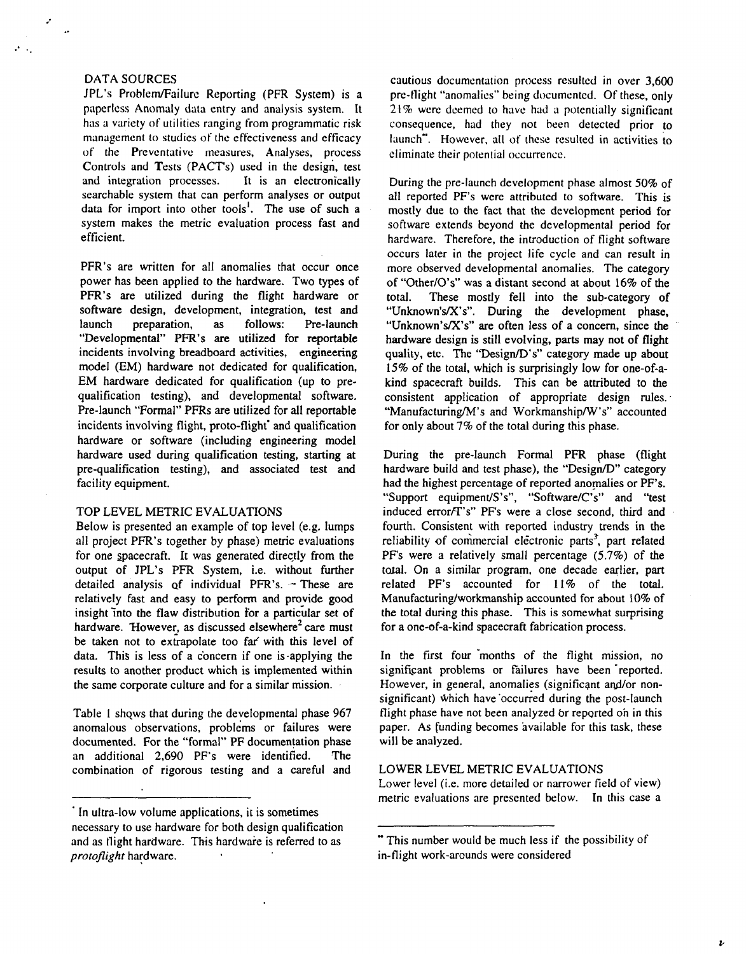### DATA SOURCES

..

JPL's Prohlem/Failurc Reporting (PFR System) is a paperless Anomaly data entry and analysis system. It has a variety of utilities ranging from programmatic risk management to studies of the effectiveness and efficacy of the Preventative measures, Analyses, process Controls and Tests (PACT's) used in the design, test<br>and integration processes. It is an electronically and integration processes. searchable system that can perform analyses or output data for import into other tools'. The use of such a system makes the metric evaluation process fast and efficient.

PFR's are written for all anomalies that occur once power has been applied to the hardware. Two types of PFR's are utilized during the flight hardware or software design, development, integration, test and launch preparation, as follows: Pre-launch "Developmental" PFR's are utilized for reportable incidents involving breadboard activities, engineering model (EM) hardware not dedicated for qualification, EM hardware dedicated for qualification (up to prequalification testing), and developmental software. Pre-launch "Formal" PFRs are utilized for all reportable incidents involving flight, proto-flight' and qualification hardware or software (including engineering model hardware used during qualification testing, starting at pre-qualification testing), and associated test and facility equipment.

### TOP LEVEL METRIC EVALUATIONS

Below is presented an example of top level (e.g. lumps **all** project PFR's together by phase) metric evaluations for one spacecraft. It was generated directly from the output of JPL's PFR System, i.e. without further detailed analysis of individual PFR's.  $-$  These are relatively fast and easy to perform and provide good insight into the flaw distribution for a particular set of hardware. However, as discussed elsewhere<sup>2</sup> care must be taken not to extrapolate too far' with this level of data. This is less of a concern if one is-applying the results to another product which is implemented within the same corporate culture and for a similar mission.

Table I shqws that during the developmental phase **967**  anomalous observations, problems or failures were documented. For the "formal" PF documentation phase an additional **2,690** PF's were identified. The combination of rigorous testing and a careful and

cautious documentation **process** resulted in over 3,600 pre-flight "anomalies" being documented. Of these, **only**  21% were deemed to have had a potentially significant consequence, had they not been detected prior to launch". However, all of these resulted in activities to eliminate their potential occurrence.

During the pre-launch development phase almost *50%* of all reported PF's were attributed to software. This is mostly due to the fact that the development period for software extends beyond the developmental period for hardware. Therefore, the introduction of flight software occurs later in the project life cycle and can result in more observed developmental anomalies. The category of "Other/O's" was a distant second at about **16%** of the total. These mostly fell into the sub-category of "Unknown's/X's". During the development phase, "Unknown's/X's" are often less of a concern, since the hardware design is still evolving, parts may not of flight quality, etc. The "Design/D's" category made up about **15%** of the total, which is surprisingly low for one-of-akind spacecraft builds. This can be attributed to the consistent application of appropriate design rules. "Manufacturing/M's and Workmanship/W's" accounted for only about 7% of the total during this phase.

During the pre-launch Formal PFR phase (flight hardware build and test phase), the "Design/D" category had the highest percentage of reported anomalies or PF's. "Support equipment/S's", "Software/C's" and "test induced error/T's" PF's were a close second, third and fourth. Consistent with reported industry trends in the reliability of commercial electronic parts<sup>3</sup>, part related PFs were a relatively small percentage **(5.7%)** of the total. On a similar program, one decade earlier, part related PF's accounted for **1** 1% of the total. **Manufacturinglworkmanship** accounted for about 10% of the total during this phase. This is somewhat surprising for a one-of-a-kind spacecraft fabrication process.

In the first four months of the flight mission, no significant problems or failures have been reported. However, in general, anomalies (significant and/or nonsignificant) which have 'occurred during the post-launch flight phase have not been analyzed br reported on in this paper. As funding becomes available for this task, these will be analyzed.

### LOWER LEVEL METRIC EVALUATIONS

Lower level (i.e. more detailed or narrower field of view) metric evaluations are presented below. In this case a

*t* 

<sup>&#</sup>x27; In ultra-low volume applications, it is sometimes necessary to use hardware for both design qualification and as flight hardware. This hardwaie is referred to as *protoflight* hardware.

<sup>&</sup>quot; This number would be much less if the possibility of in-flight work-arounds were considered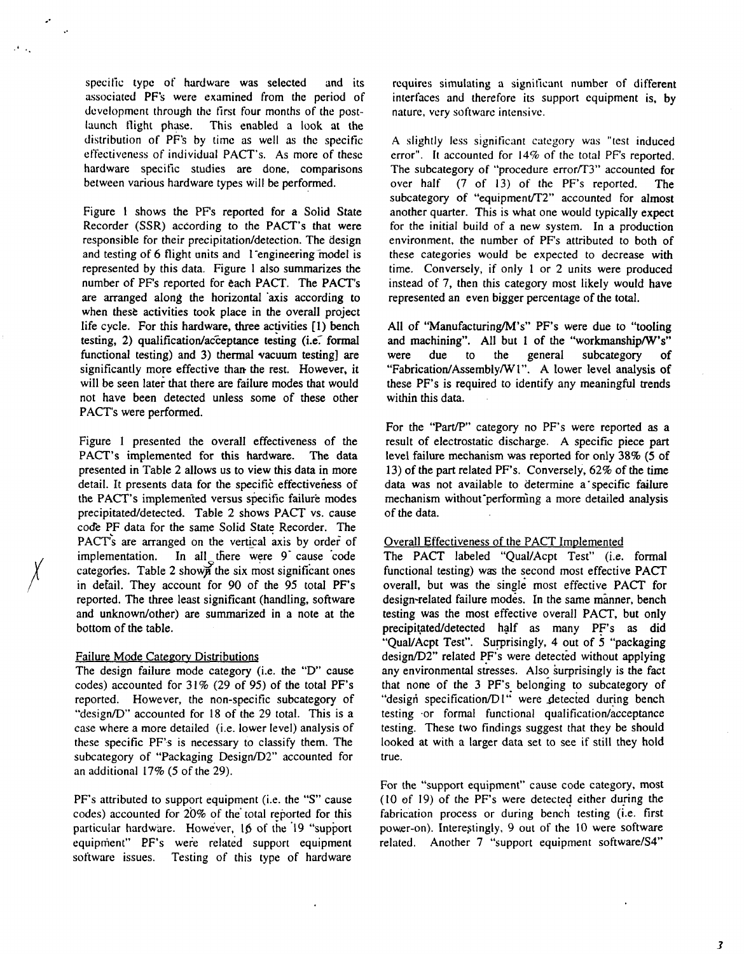specific type of hardware was selected and its associated PF's were examined from the period of development through the first four months of the postlaunch flight phase. This enabled a look at the distribution of PF's by time as well as the specific effectiveness of individual PACT's. As more of these hardware specific studies are done, comparisons between various hardware types will be performed.

<span id="page-2-0"></span>.'

Figure 1 shows the PF's reported for a Solid State Recorder (SSR) according to the PACT's that were responsible for their precipitation/detection. The design and testing of 6 flight units and 1 engineering model is represented by this data. Figure **1** also summarizes the number of PFs reported for each PACT. The PACT's are arranged along the horizontal 'axis according to when these activities took place in the overall project life cycle. For this hardware, three activities **[I)** bench testing, 2) qualification/acceptance testing (i.e. formal functional testing) and 3) thermal vacuum testing] are significantly more effective than the rest. However, it will be seen later that there are failure modes that would not have been detected unless some of these other PACT's were performed.

Figure I presented the overall effectiveness of the PACT's implemented for this hardware. The data presented in Table 2 allows us to view this data in more detail. It presents data for the specific effectiveness of the PACT's implemented versus specific failure modes precipitatedldetected. Table 2 shows PACT vs. cause code PF data for the same Solid State Recorder. The PACT's are arranged on the vertical axis by order of implementation. In all there were 9 cause code<br>categories. Table 2 shown the six most significant ones categories. Table 2 shown the six most significant ones in defail. They account for 90 of the 95 total PF's reported. The three least significant (handling, software and unknown/other) are summarized in a note at the bottom of the table.

# Failure Mode Categorv Distributions

The design failure mode category (i.e. the "D' cause codes) accounted for 3 **1%** (29 of 95) of the total PF's reported. However, the non-specific subcategory of "design/D" accounted for **18** of the 29 total. This is a case where a more detailed (i.e. lower level) analysis of these specific PF's is necessary to classify them. The subcategory of "Packaging Design/D2" accounted for an additional 17% **(5** of the 29).

PF's attributed to support equipment (i.e. the **"S"** cause codes) accounted for  $20\%$  of the total reported for this particular hardware. However, 15 of the '19 "support equipment" **PF's** weie related support equipment software issues. Testing of this type of hardware requires simulating **a** significant number of different interfaces and therefore its support equipment is, by nature, very software intensive.

A slightly **less** significant category was "test induced error". It accounted for **14%** of the total PF's reported. The subcategory of "procedure error/T3" accounted for over half (7 of 13) of the PF's reported. The subcategory of "equipment/T2" accounted for almost another quarter. This is what one would typically expect for the initial build of a new system. In a production environment, the number of PF's attributed to both of these categories would be expected to decrease with time. Conversely, if only 1 or 2 units were produced instead of 7, then this category most likely would have represented an even bigger percentage of the total.

All of "Manufacturing/M's" PF's were due to "tooling and machining". All but 1 of the "workmanship/W's"<br>were due to the general subcategory of were due to the general subcategory of "Fabrication/Assembly/W1". A lower level analysis of these PF's is required to identify any meaningful trends within this data.

For the "Part/P" category no PF's were reported as a result of electrostatic discharge. A specific piece part level failure mechanism **was** reported for only 38% **(5** of 13) of the part related PF's. Conversely, 62% of the time data was not available to determine a'specific failure mechanism without performing a more detailed analysis of the data.

# Overall Effectiveness of the PACT Implemented

The PACT labeled "QuaVAcpt Test" (i.e. formal functional testing) was the second most effective PACT overall, but was the single most effective PACT **for**  design-related failure modes. In the same manner, bench testing was the most effective overall PACT, but only precipitatedldetected half as many PF's **as** did "QualIAcpt Test". Surprisingly, **4** out of 5 "packaging design/D2" related PF's were detected without applying any environmental stresses. Also surprisingly is the fact that none of the 3 PF's belonging to subcategory of "design specification/D1" were detected during bench testing or formal functional qualification/acceptance testing. These two findings suggest that they be should looked at with a larger data set to see if still they hold true.

For the "support equipment" cause code category, most (10 of 19) of the PF's were detected either during the fabrication process or during bench testing (i.e. first power-on). Interestingly, 9 out of the 10 were software related. Another 7 "support equipment software/S4"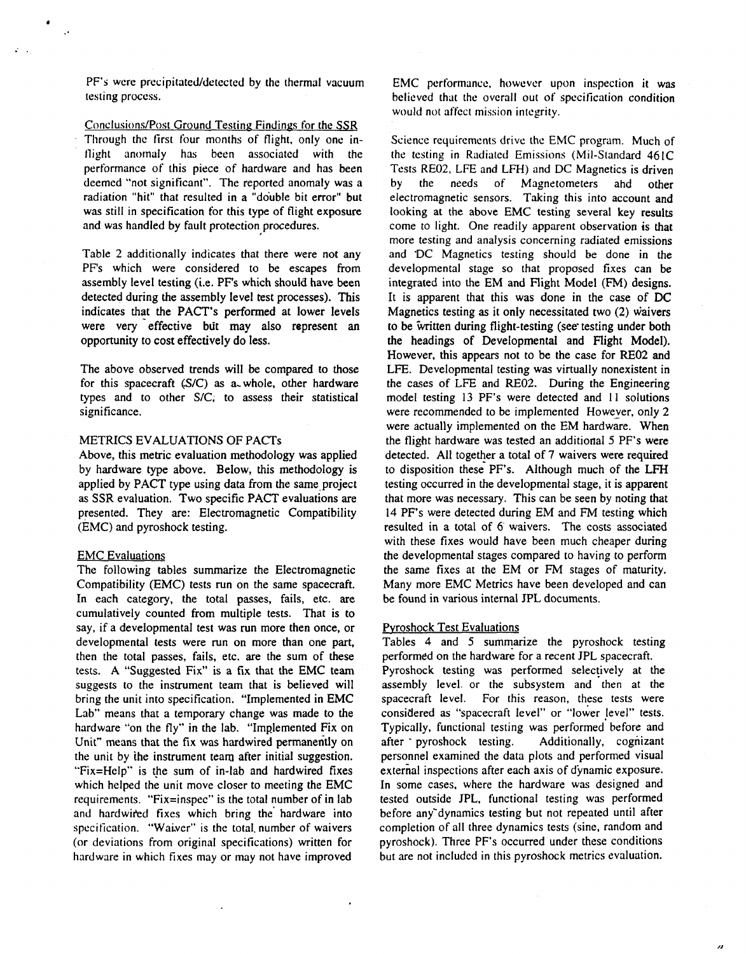<span id="page-3-0"></span>PF's were precipitated/detected by the thermal vacuum testing process.

Conclusions/Post Ground Testing Findings for the SSR Through the first four months of flight, only one intlight anomaly has been associated with the performance of this piece of hardware and has been deemed "not significant". The reported anomaly was a radiation "hit" that resulted in a "double bit error" but was still in specification for this type of flight exposure and was handled by fault protection procedures.

Table **2** additionally indicates that there were not any PF's which were considered to be escapes from assembly level testing (i.e. PF's which should have been detected during the assembly level test processes). This indicates that the PACT'S performed at lower levels were very effective but may also represent an opportunity **to** cost effectively do less.

The above observed trends will be compared to those for this spacecraft (S/C) as a-whole, other hardware types and to other S/C; to assess their statistical significance.

### METRICS EVALUATIONS OF PACTS

Above, this metric evaluation methodology was applied by hardware type above. Below, this methodology is applied by PACT type using data from the same project as **SSR** evaluation. Two specific PACT evaluations are presented. They are: Electromagnetic Compatibility (EMC) and pyroshock testing.

### EMC Evaluations

The following tables summarize the Electromagnetic Compatibility (EMC) tests run on the same spacecraft. In each category, the total passes, fails, etc. are cumulatively counted from multiple tests. That is **to**  say, if a developmental test was run more then once, or developmental tests were run on more than one part, then the **total** passes, fails, etc. are the sum of these tests. A "Suggested Fix" is a fix that the EMC team suggests to the instrument team that is believed will bring the unit into specification. "Implemented in EMC Lab" means that a temporary change was made to the hardware "on the fly" in the lab. "Implemented Fix on Unit" means that the fix was hardwired permanently on the unit by ihe instrument team after initial suggestion. "Fix=Help" **is** the sum of in-lab and hardwired fixes which helped the unit move closer to meeting the EMC requirements. "Fix=inspec" is the total number of in lab and hardwired fixes which bring the hardware into specification. "Waiver" is the total number of waivers (or deviations from original specifications) written for hardware in which fixes may or may not have improved

**EMC** performance, however upon inspection **it** was believed that the overall out of specification condition would not affect mission integrity.

Science requirements drive the EMC program. Much of the testing in Radiated Emissions (Mil-Standard 461C Tests **RE02,** LFE and LFH) and DC Magnetics is driven by the needs of Magnetometers ahd other electromagnetic sensors. Taking this into account and looking at the above EMC testing several key results come to light. One readily apparent observation **is** that more testing and analysis concerning radiated emissions and 'DC Magnetics testing should be done in the developmental stage so that proposed fixes can be integrated into the EM and Flight Model (FM) designs. It is apparent that this was done in the case of **DC**  Magnetics testing as it only necessitated two **(2)** waivers to be written during flight-testing (see testing under both the headings of Developmental and Flight Model). However, this appears not to be the case for **RE02 and**  LFE. Developmental testing was virtually nonexistent in the cases of LFE and **RE02.** During the Engineering model testing 13 PF's were detected and 11 solutions were recommended to be implemented However, only 2 were actually implemented on the EM hardware. When the flight hardware was tested an additional **5** PF's were detected. All together a total of **7** waivers were required to disposition these PF's. Although much of the LFH testing occurred in the developmental stage, it is apparent that more was necessary. This can be seen by noting that 14 PF's were detected during EM and FM testing which resulted in a total of *6-* waivers. The costs associated with these fixes would have been much cheaper during the developmental stages compared to having **to** perform the same fixes at the EM or FM stages of maturity. Many more EMC Metrics have been developed and can be found in various internal JPL documents.

### Pvroshock Test Evaluations

Tables 4 and 5 summarize the pyroshock testing performed on the hardware for a recent JPL spacecraft. Pyroshock testing was performed selectively at the assembly level. or the subsystem and then at the spacecraft level. For this reason, these tests were considered as "spacecraft level" or "lower !evel" tests. Typically, functional testing was performed before and after pyroshock testing. Additionally, cognizant personnel examined the data plots and performed visual external inspections after each axis of dynamic exposure. In some cases, where the hardware was designed and tested outside JPL, functional testing was performed before any'dynamics testing but not repeated until after completion of all three dynamics tests (sine, random and pyroshock). Three PF's occurred under these conditions but are not included in this pyroshock metrics evaluation.

 $\overline{u}$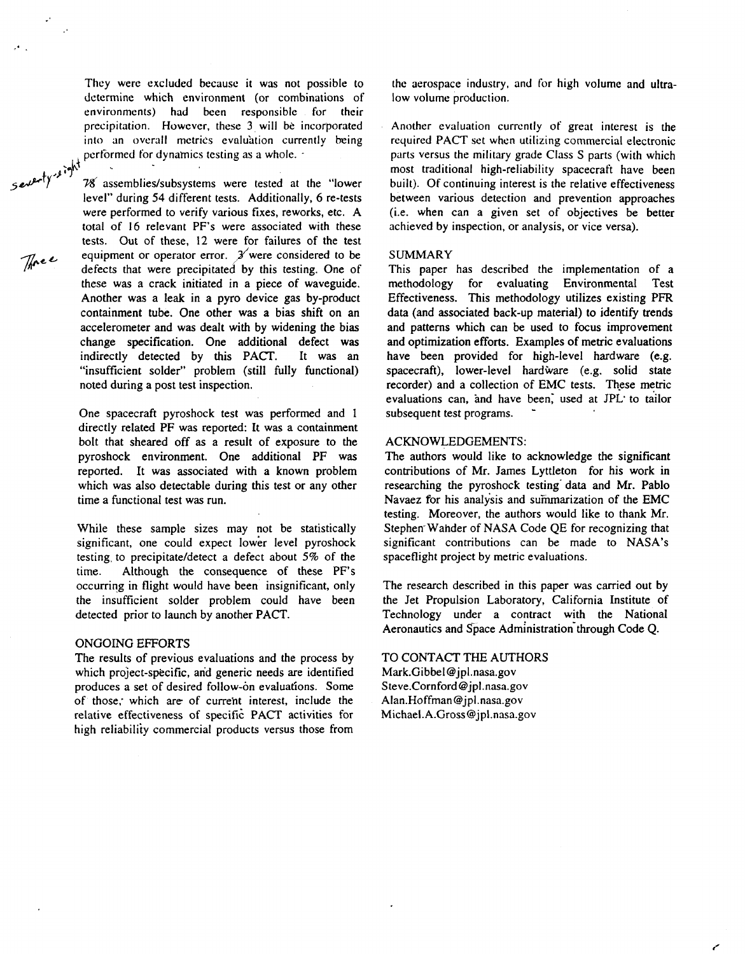They were excluded because it was not possible to determine which environment (or combinations of environments) had been responsible for their precipitation. However, these **3,** will be incorporated into an overall metrics evaluation currently being performed for dynamics testing as a whole.

78 assemblies/subsystems were tested at the "lower level" during **54** different tests. Additionally, *6* re-tests were performed to verify various fixes, reworks, etc. A total of **16** relevant PF's were associated with these tests. Out of these, **12** were for failures of the test equipment or operator error.  $\mathcal{J}$  were considered to be defects that were precipitated by this testing. One of these was a crack initiated in a piece of waveguide. Another was a leak in a pyro device gas by-product containment tube. One other was a bias shift on an accelerometer and was dealt with by widening the bias change specification. One additional defect was indirectly detected by this PACT. It was an "insufficient solder" problem (still fully functional) noted during a post test inspection. severty sight

> One spacecraft pyroshock test was performed and **1**  directly related PF was reported: It was a containment bolt that sheared off as a result of exposure to the pyroshock environment. One additional PF was reported. It was associated with a known problem which was also detectable during this test or any other time a functional test was run.

> While these sample sizes may not be statistically significant, one could expect lower level pyroshock testing, to precipitate/detect a defect about **5%** of the time. Although the consequence of these PF's occurring in flight would have been insignificant, only the insufficient solder problem could have been detected prior to launch by another PACT.

### ONGOING EFFORTS

The results of previous evaluations and the process by which project-specific, and generic needs are identified produces a set of desired follow-on evaluations. Some of those; which are of curreht interest, include the relative effectiveness of specific PACT activities for high reliabiliiy commercial products versus those from

the aerospace industry, and for high volume and ultralow volume production.

Another evaluation currently of great interest **is** the required PACT set when utilizing commercial electronic parts versus the military grade Class S parts (with which most traditional high-reliability spacecraft have been built). Of continuing interest is the relative effectiveness between various detection and prevention approaches (i.e. when can a given set of objectives be better achieved by inspection, or analysis, or vice versa).

#### SUMMARY

This paper has described the implementation of a methodology for evaluating Environmental Test Effectiveness. This methodology utilizes existing **PFR**  data (and associated back-up material) to identify trends and patterns which can be used **to** focus improvement and optimization efforts. Examples **of** metric evaluations have been provided for high-level hardware (e.g. spacecraft), lower-level hardware (e.g. solid state recorder) and a collection of EMC tests. These metric evaluations can, and have been, used at JPL to tailor subsequent test programs.

#### ACKNOWLEDGEMENTS:

The authors would like to acknowledge the significant contributions of Mr. James Lyttleton for his work in researching the pyroshock testing' data and Mr. Pablo Navaez for his analysis and summarization of the EMC testing. Moreover, the authors would like to thank Mr. Stephen<sup>-</sup>Wahder of NASA Code OE for recognizing that significant contributions can be made to NASA's spaceflight project by metric evaluations.

The research described in this paper was carried out by the Jet Propulsion Laboratory, California Institute of Technology under a contract with the National Aeronautics and Space Administration through Code Q.

## TO CONTACT THE AUTHORS

**[Mark.GibbeI@jpl.nasa.gov](mailto:Mark.GibbeI@jpl.nasa.gov) [Steve.Cornford@jpl.nasa.gov](mailto:Steve.Cornford@jpl.nasa.gov) [Alan.Hoffman@jpl.nasa.gov](mailto:Alan.Hoffman@jpl.nasa.gov) [Michael.A.Gross@jpl.nasa.gov](mailto:Michael.A.Gross@jpl.nasa.gov)** 

 $\mathcal{J}$ *Mee*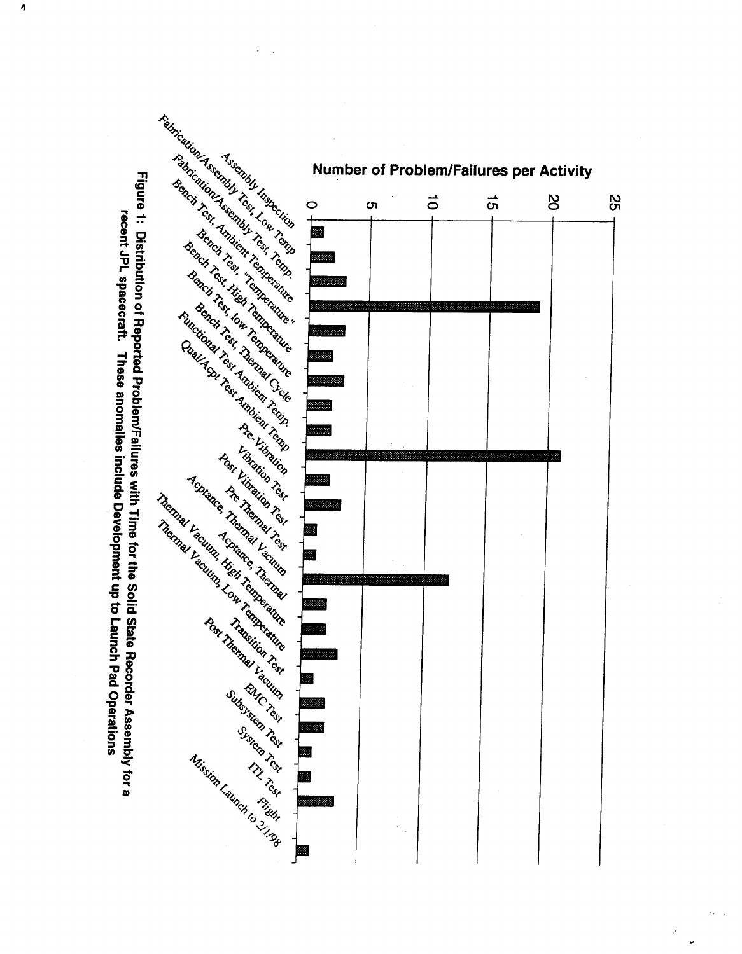

 $\pmb{\eta}$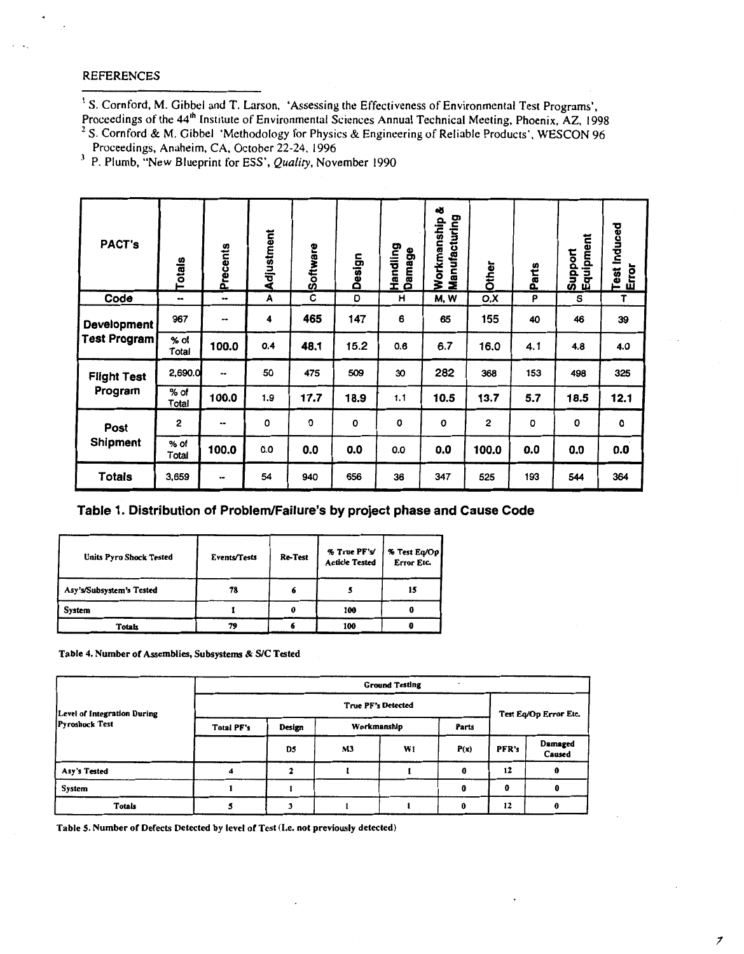# REFERENCES

**<sup>I</sup>***S.* Cornford, M. Gibbel and T. Larson. 'Assessing the Effectiveness ofEnvironmental Test Programs',

Proceedings of the 44<sup>th</sup> Institute of Environmental Sciences Annual Technical Meeting, Phoenix, AZ, 1998 S. Cornford & M. Gibbel 'Methodology for Physics & Engineering of Reliable Products', WESCON 96

Proceedings, Anaheim, CA, October 22-24, 1996<br>P. Plumb, "New Blueprint for ESS', *Quality*, November 1990

| <b>PACT's</b>                             | Totals          | Precents | Adjustment | Software | Design | Handling<br>Damage | ಟ<br>Manufacturing<br>Workmanship | Other | Parts | Equipment<br>Support | Test Induced<br>Error |
|-------------------------------------------|-----------------|----------|------------|----------|--------|--------------------|-----------------------------------|-------|-------|----------------------|-----------------------|
| Code                                      |                 | ⊷        | Α          | С        | D      | н                  | M, W                              | O,X   | P     | S                    | T                     |
| <b>Development</b><br><b>Test Program</b> | 967             |          | 4          | 465      | 147    | 6                  | 65                                | 155   | 40    | 46                   | 39                    |
|                                           | $%$ of<br>Total | 100.0    | 0.4        | 48.1     | 15.2   | 0.6                | 6.7                               | 16.0  | 4.1   | 4.8                  | 4.0                   |
| <b>Flight Test</b><br>Program             | 2,690.0         | --       | 50         | 475      | 509    | 30                 | 282                               | 368   | 153   | 498                  | 325                   |
|                                           | % of<br>Total   | 100.0    | 1.9        | 17.7     | 18.9   | 1.1                | 10.5                              | 13.7  | 5.7   | 18.5                 | 12.1                  |
| Post<br><b>Shipment</b>                   | 2               |          | 0          | 0        | 0      | 0                  | 0                                 | 2     | O     | 0                    | 0                     |
|                                           | % of<br>Total   | 100.0    | 0.0        | 0.0      | 0.0    | 0.0                | 0.0                               | 100.0 | 0.0   | 0.0                  | 0.0                   |
| <b>Totals</b>                             | 3,659           |          | 54         | 940      | 656    | 36                 | 347                               | 525   | 193   | 544                  | 364                   |

# Table 1. Distribution of Problem/Failure's by project phase and Cause Code

| <b>Units Pyro Shock Tested</b> | <b>Events/Tests</b> | <b>Re-Test</b> | % True PF's/<br><b>Acticle Tested</b> | % Test Eq/Op<br><b>Error Etc.</b> |
|--------------------------------|---------------------|----------------|---------------------------------------|-----------------------------------|
| Asy's/Subsystem's Tested       | 78                  |                |                                       | 15                                |
| System                         |                     |                | 100                                   |                                   |
| <b>Totals</b>                  | 79                  |                | 100                                   |                                   |

**[Table](#page-3-0) 4. Number of Assemblies, Subsystem** & **SIC Tested** 

|                             | <b>Ground Testing</b><br>$\sim$ |                           |             |    |       |                       |                   |  |  |  |  |  |  |  |
|-----------------------------|---------------------------------|---------------------------|-------------|----|-------|-----------------------|-------------------|--|--|--|--|--|--|--|
| Level of Integration During |                                 | <b>True PF's Detected</b> |             |    |       |                       |                   |  |  |  |  |  |  |  |
| <b>Pyroshock Test</b>       | Total PF's                      | Design                    | Workmanship |    | Parts | Test Eq/Op Error Etc. |                   |  |  |  |  |  |  |  |
|                             |                                 | D5                        | M3          | W1 | P(x)  | PFR's                 | Damaged<br>Caused |  |  |  |  |  |  |  |
| Asy's Tested                |                                 |                           |             |    | o     | 12                    | 0                 |  |  |  |  |  |  |  |
| System                      |                                 |                           |             |    |       | Û                     |                   |  |  |  |  |  |  |  |
| <b>Totals</b>               |                                 |                           |             |    | Ω     | 12                    |                   |  |  |  |  |  |  |  |

**Table 5. Number of Defects Detected by level of Test (1.e. not previously detected)**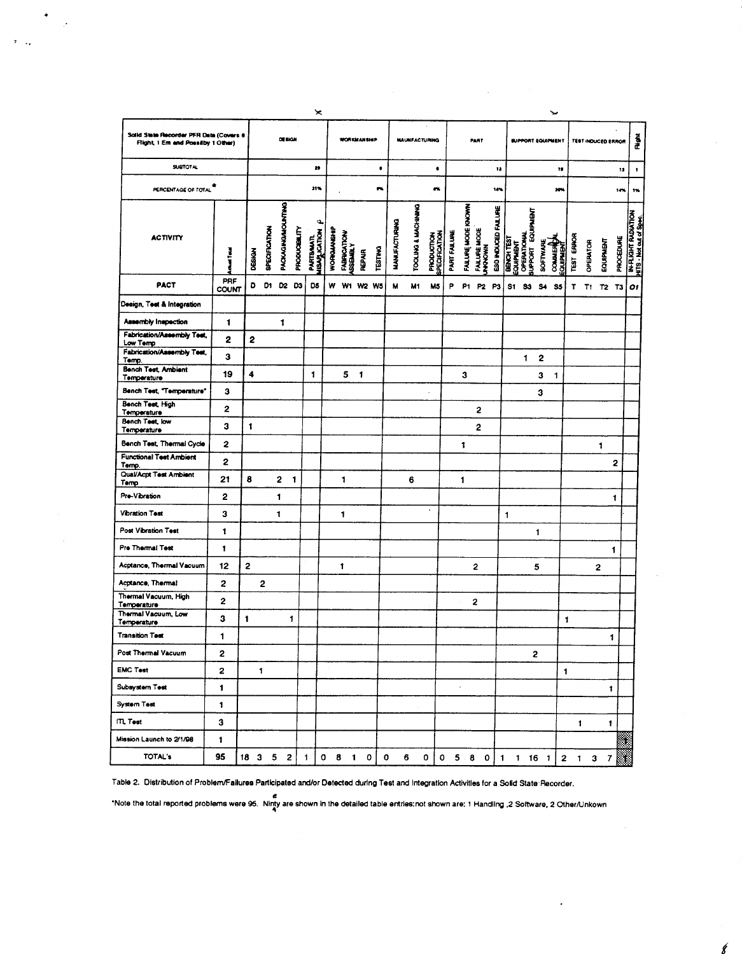| Solid State Recorder PFR Data (Covers 6<br>Flight, 1 Em and Possilby 1 Other) |              |              |                      |                   | DESIGN                |                                   | <b>WORKMANSHIP</b> |                              |                         |                |                      | <b>MAUNFACTURING</b> |                                    |              | PART                      |                            |                     |              | <b>SUPPORT EQUIPMENT</b>                      |   |                              |                  | <b>TEST INDUCED ERROR</b> |              |                               |           | ă                                                   |
|-------------------------------------------------------------------------------|--------------|--------------|----------------------|-------------------|-----------------------|-----------------------------------|--------------------|------------------------------|-------------------------|----------------|----------------------|----------------------|------------------------------------|--------------|---------------------------|----------------------------|---------------------|--------------|-----------------------------------------------|---|------------------------------|------------------|---------------------------|--------------|-------------------------------|-----------|-----------------------------------------------------|
| <b>SUBTOTAL</b>                                                               |              |              |                      |                   |                       | 20                                |                    |                              |                         | ٠              |                      |                      | ٠                                  |              |                           |                            | 13                  |              |                                               |   |                              | 18               |                           |              |                               | 13        | 1                                                   |
| PERCENTAGE OF TOTAL                                                           |              |              |                      |                   |                       | 31%                               |                    |                              |                         | m              |                      |                      | $\mathbf{e}$                       |              |                           |                            | 14%                 |              |                                               |   |                              | 20%              |                           |              |                               | 14%       | $\mathbf{m}$                                        |
| <b>ACTIVITY</b>                                                               | Ì            | DESIGN       | <b>SPECIFICATION</b> | PACKAGINGMOUNTING | <b>PRODUCTEM, ITY</b> | <b>HOLLON RASH</b><br>PARTISAMITL | <b>WORKNOWSHI</b>  | FABRICATION<br><b>VENERS</b> | <b>REPAIR</b>           | <b>TESTING</b> | <b>MANUFACTURING</b> | TOOLING & MACHINING  | <b>PRODUCTION</b><br>SPECIFICATION | PART FAILURE | <b>FAILURE MODE RNOWN</b> | <b>FAILURE MODE</b>        | ESD INDUCED FAILURE | BENCH TEST   | EQUIPMENT<br>OPERATIONAL<br>SUPPORT EQUIPMENT |   | <b>COMMERCIA</b><br>SOFTWARE | <b>EQUIPMENT</b> | <b>TEST EFROR</b>         | OPERATOR     | EQUIPMENT                     | PROCEDURE | <b>IN-RIGHT RADATION</b><br>HITS - Not and of Spec. |
| <b>PACT</b>                                                                   | PRF<br>COUNT | D            | D1.                  | D2                | D3                    | DS.                               | w                  |                              |                         | W1 W2 W5       | M                    | M1                   | M <sub>5</sub>                     | Р            | P1.                       | P2 P3                      |                     |              | S1 S3 S4                                      |   | S <sub>5</sub>               |                  | $T$ $T1$                  |              | T <sub>2</sub> T <sub>3</sub> |           | 01                                                  |
| Design, Test & Integration                                                    |              |              |                      |                   |                       |                                   |                    |                              |                         |                |                      |                      |                                    |              |                           |                            |                     |              |                                               |   |                              |                  |                           |              |                               |           |                                                     |
| <b>Assembly Inspection</b>                                                    | 1            |              |                      | 1                 |                       |                                   |                    |                              |                         |                |                      |                      |                                    |              |                           |                            |                     |              |                                               |   |                              |                  |                           |              |                               |           |                                                     |
| Fabrication/Assembly Test,<br>Low Temp                                        | $\mathbf{2}$ | 2            |                      |                   |                       |                                   |                    |                              |                         |                |                      |                      |                                    |              |                           |                            |                     |              |                                               |   |                              |                  |                           |              |                               |           |                                                     |
| Fabrication/Assembly Test,<br>Temp.                                           | 3            |              |                      |                   |                       |                                   |                    |                              |                         |                |                      |                      |                                    |              |                           |                            |                     |              | 1.                                            |   | 2                            |                  |                           |              |                               |           |                                                     |
| <b>Bench Test, Ambient</b><br>Temperature                                     | 19           | 4            |                      |                   |                       | 1                                 |                    | 5                            | $\overline{\mathbf{1}}$ |                |                      |                      |                                    |              | 3                         |                            |                     |              |                                               |   | 3<br>1                       |                  |                           |              |                               |           |                                                     |
| Bench Test, "Temperature"                                                     | 3            |              |                      |                   |                       |                                   |                    |                              |                         |                |                      |                      |                                    |              |                           |                            |                     |              |                                               | 3 |                              |                  |                           |              |                               |           |                                                     |
| Bench Test, High<br>Temperature                                               | 2            |              |                      |                   |                       |                                   |                    |                              |                         |                |                      |                      |                                    |              |                           | 2                          |                     |              |                                               |   |                              |                  |                           |              |                               |           |                                                     |
| Bench Test, low<br>Temperature                                                | 3            | 1            |                      |                   |                       |                                   |                    |                              |                         |                |                      |                      |                                    |              |                           | $\overline{\mathbf{c}}$    |                     |              |                                               |   |                              |                  |                           |              |                               |           |                                                     |
| Bench Test, Thermal Cycle                                                     | $\mathbf{2}$ |              |                      |                   |                       |                                   |                    |                              |                         |                |                      |                      |                                    |              | 1                         |                            |                     |              |                                               |   |                              |                  |                           |              | 1                             |           |                                                     |
| <b>Functional Test Ambient</b><br>Temp.                                       | 2            |              |                      |                   |                       |                                   |                    |                              |                         |                |                      |                      |                                    |              |                           |                            |                     |              |                                               |   |                              |                  |                           |              |                               | 2         |                                                     |
| Qual/Acpt Test Ambient<br>Temp                                                | 21           | 8            |                      | 2                 | 1                     |                                   |                    | 1                            |                         |                |                      | 6                    |                                    |              | $\mathbf{1}$              |                            |                     |              |                                               |   |                              |                  |                           |              |                               |           |                                                     |
| Pre-Vibration                                                                 | 2            |              |                      | 1                 |                       |                                   |                    |                              |                         |                |                      |                      |                                    |              |                           |                            |                     |              |                                               |   |                              |                  |                           |              |                               | 1         |                                                     |
| <b>Vibration Test</b>                                                         | 3            |              |                      | 1                 |                       |                                   |                    | 1                            |                         |                |                      |                      | $\cdot$                            |              |                           |                            |                     | $\mathbf{1}$ |                                               |   |                              |                  |                           |              |                               |           |                                                     |
| Post Vibration Test                                                           | 1            |              |                      |                   |                       |                                   |                    |                              |                         |                |                      |                      |                                    |              |                           |                            |                     |              |                                               | 1 |                              |                  |                           |              |                               |           |                                                     |
| Pre Thermal Test                                                              | 1            |              |                      |                   |                       |                                   |                    |                              |                         |                |                      |                      |                                    |              |                           |                            |                     |              |                                               |   |                              |                  |                           |              | 1                             |           |                                                     |
| Acptance, Thermal Vacuum                                                      | 12           | $\mathbf{z}$ |                      |                   |                       |                                   |                    | 1                            |                         |                |                      |                      |                                    |              |                           | 2                          |                     |              |                                               | 5 |                              |                  |                           | $\mathbf{2}$ |                               |           |                                                     |
| Acptance, Thermal                                                             | 2            |              | $\overline{2}$       |                   |                       |                                   |                    |                              |                         |                |                      |                      |                                    |              |                           |                            |                     |              |                                               |   |                              |                  |                           |              |                               |           |                                                     |
| Thermal Vacuum, High<br>Temperature                                           | 2            |              |                      |                   |                       |                                   |                    |                              |                         |                |                      |                      |                                    |              |                           | $\overline{\mathbf{c}}$    |                     |              |                                               |   |                              |                  |                           |              |                               |           |                                                     |
| Thermal Vacuum, Low<br>Temperature                                            | 3            | 1            |                      |                   | 1                     |                                   |                    |                              |                         |                |                      |                      |                                    |              |                           |                            |                     |              |                                               |   |                              | 1                |                           |              |                               |           |                                                     |
| <b>Transition Test</b>                                                        | 1            |              |                      |                   |                       |                                   |                    |                              |                         |                |                      |                      |                                    |              |                           |                            |                     |              |                                               |   |                              |                  |                           |              | 1                             |           |                                                     |
| Post Thermal Vacuum                                                           | 2            |              |                      |                   |                       |                                   |                    |                              |                         |                |                      |                      |                                    |              |                           |                            |                     |              |                                               | 2 |                              |                  |                           |              |                               |           |                                                     |
| <b>EMC Test</b>                                                               | 2            |              | 1                    |                   |                       |                                   |                    |                              |                         |                |                      |                      |                                    |              |                           |                            |                     |              |                                               |   |                              | 1                |                           |              |                               |           |                                                     |
| Subsystem Test                                                                | 1            |              |                      |                   |                       |                                   |                    |                              |                         |                |                      |                      |                                    |              | à.                        |                            |                     |              |                                               |   |                              |                  |                           |              | 1                             |           |                                                     |
| System Test                                                                   | 1            |              |                      |                   |                       |                                   |                    |                              |                         |                |                      |                      |                                    |              |                           |                            |                     |              |                                               |   |                              |                  |                           |              |                               |           |                                                     |
| ITL Test                                                                      | 3            |              |                      |                   |                       |                                   |                    |                              |                         |                |                      |                      |                                    |              |                           |                            |                     |              |                                               |   |                              |                  | 1                         |              | 1                             |           |                                                     |
| Mission Launch to 2/1/98                                                      | 1            |              |                      |                   |                       |                                   |                    |                              |                         |                |                      |                      |                                    |              |                           |                            |                     |              |                                               |   |                              |                  |                           |              |                               | X         |                                                     |
| <b>TOTAL's</b>                                                                | 95           |              | 18 3 5 2             |                   |                       | $\blacksquare$                    |                    | 0 8 1 0                      |                         |                | 0                    | 6                    | 0                                  |              |                           | $0$ 5 8 0 1 1 16 1 2 1 3 7 |                     |              |                                               |   |                              |                  |                           |              |                               |           |                                                     |

 $\overline{2}$  ..

Table 2. Distribution of Problem/Failures Participated and/or Detected during Test and Integration Activities for a Solid State Recorder.

e<br>Note the total reported problems were 95. Ninty are shown in the detailed table entries:not shown are: 1 Handling ,2 Software, 2 Other/Unkown\*

g